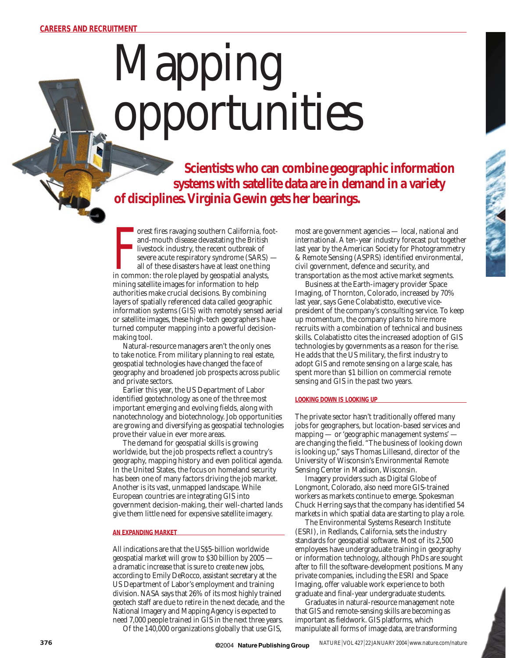# Mapping portunities

**Scientists who can combine geographic information systems with satellite data are in demand in a variety of disciplines. Virginia Gewin gets her bearings.**

orest fires ravaging southern California, fo<br>and-mouth disease devastating the British<br>livestock industry, the recent outbreak of<br>severe acute respiratory syndrome (SARS)<br>all of these disasters have at least one thing<br>in c orest fires ravaging southern California, footand-mouth disease devastating the British livestock industry, the recent outbreak of severe acute respiratory syndrome (SARS) all of these disasters have at least one thing mining satellite images for information to help authorities make crucial decisions. By combining layers of spatially referenced data called geographic information systems (GIS) with remotely sensed aerial or satellite images, these high-tech geographers have turned computer mapping into a powerful decisionmaking tool.

Natural-resource managers aren't the only ones to take notice. From military planning to real estate, geospatial technologies have changed the face of geography and broadened job prospects across public and private sectors.

Earlier this year, the US Department of Labor identified geotechnology as one of the three most important emerging and evolving fields, along with nanotechnology and biotechnology. Job opportunities are growing and diversifying as geospatial technologies prove their value in ever more areas.

The demand for geospatial skills is growing worldwide, but the job prospects reflect a country's geography, mapping history and even political agenda. In the United States, the focus on homeland security has been one of many factors driving the job market. Another is its vast, unmapped landscape. While European countries are integrating GIS into government decision-making, their well-charted lands give them little need for expensive satellite imagery.

### **AN EXPANDING MARKET**

All indications are that the US\$5-billion worldwide geospatial market will grow to \$30 billion by 2005 a dramatic increase that is sure to create new jobs, according to Emily DeRocco, assistant secretary at the US Department of Labor's employment and training division. NASA says that 26% of its most highly trained geotech staff are due to retire in the next decade, and the National Imagery and Mapping Agency is expected to need 7,000 people trained in GIS in the next three years.

Of the 140,000 organizations globally that use GIS,

most are government agencies — local, national and international. A ten-year industry forecast put together last year by the American Society for Photogrammetry & Remote Sensing (ASPRS) identified environmental, civil government, defence and security, and transportation as the most active market segments.

Business at the Earth-imagery provider Space Imaging, of Thornton, Colorado, increased by 70% last year, says Gene Colabatistto, executive vicepresident of the company's consulting service. To keep up momentum, the company plans to hire more recruits with a combination of technical and business skills. Colabatistto cites the increased adoption of GIS technologies by governments as a reason for the rise. He adds that the US military, the first industry to adopt GIS and remote sensing on a large scale, has spent more than \$1 billion on commercial remote sensing and GIS in the past two years.

#### **LOOKING DOWN IS LOOKING UP**

The private sector hasn't traditionally offered many jobs for geographers, but location-based services and mapping — or 'geographic management systems' are changing the field. "The business of looking down is looking up," says Thomas Lillesand, director of the University of Wisconsin's Environmental Remote Sensing Center in Madison, Wisconsin.

Imagery providers such as Digital Globe of Longmont, Colorado, also need more GIS-trained workers as markets continue to emerge. Spokesman Chuck Herring says that the company has identified 54 markets in which spatial data are starting to play a role.

The Environmental Systems Research Institute (ESRI), in Redlands, California, sets the industry standards for geospatial software. Most of its 2,500 employees have undergraduate training in geography or information technology, although PhDs are sought after to fill the software-development positions. Many private companies, including the ESRI and Space Imaging, offer valuable work experience to both graduate and final-year undergraduate students.

Graduates in natural-resource management note that GIS and remote-sensing skills are becoming as important as fieldwork. GIS platforms, which manipulate all forms of image data, are transforming